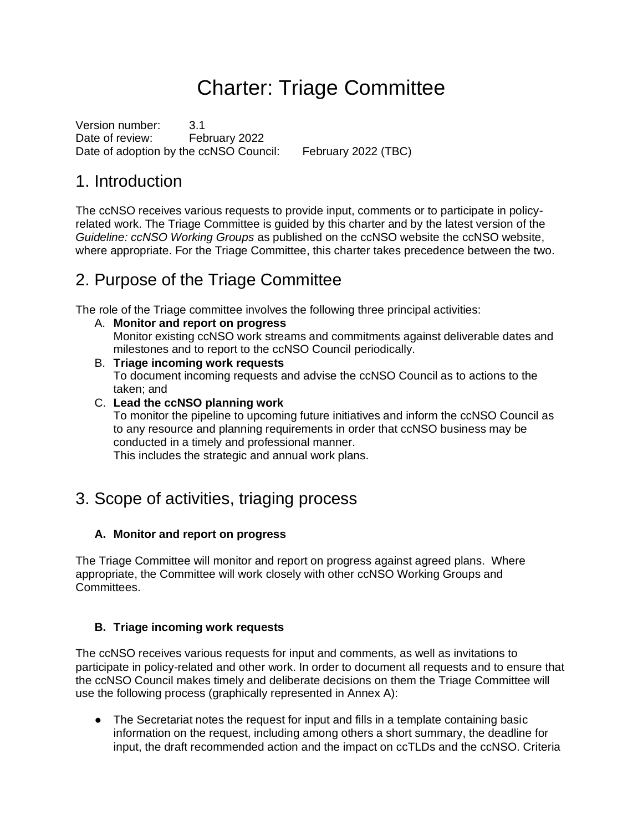## Charter: Triage Committee

Version number: 3.1 Date of review: February 2022 Date of adoption by the ccNSO Council: February 2022 (TBC)

### 1. Introduction

The ccNSO receives various requests to provide input, comments or to participate in policyrelated work. The Triage Committee is guided by this charter and by the latest version of the *Guideline: ccNSO Working Groups* as published on the ccNSO website the ccNSO website, where appropriate. For the Triage Committee, this charter takes precedence between the two.

### 2. Purpose of the Triage Committee

The role of the Triage committee involves the following three principal activities:

- A. **Monitor and report on progress** Monitor existing ccNSO work streams and commitments against deliverable dates and milestones and to report to the ccNSO Council periodically.
- B. **Triage incoming work requests** To document incoming requests and advise the ccNSO Council as to actions to the taken; and
- C. **Lead the ccNSO planning work**

To monitor the pipeline to upcoming future initiatives and inform the ccNSO Council as to any resource and planning requirements in order that ccNSO business may be conducted in a timely and professional manner.

This includes the strategic and annual work plans.

### 3. Scope of activities, triaging process

#### **A. Monitor and report on progress**

The Triage Committee will monitor and report on progress against agreed plans. Where appropriate, the Committee will work closely with other ccNSO Working Groups and Committees.

#### **B. Triage incoming work requests**

The ccNSO receives various requests for input and comments, as well as invitations to participate in policy-related and other work. In order to document all requests and to ensure that the ccNSO Council makes timely and deliberate decisions on them the Triage Committee will use the following process (graphically represented in Annex A):

● The Secretariat notes the request for input and fills in a template containing basic information on the request, including among others a short summary, the deadline for input, the draft recommended action and the impact on ccTLDs and the ccNSO. Criteria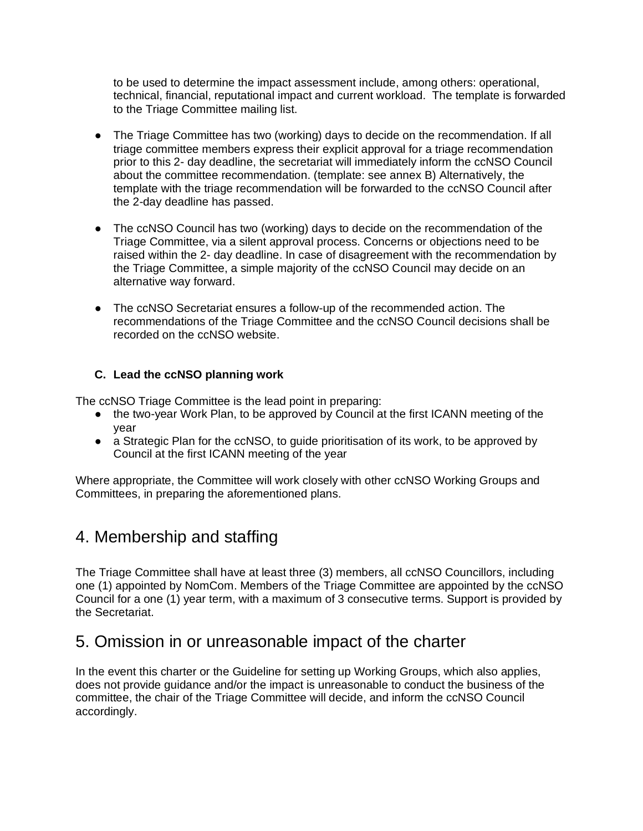to be used to determine the impact assessment include, among others: operational, technical, financial, reputational impact and current workload. The template is forwarded to the Triage Committee mailing list.

- The Triage Committee has two (working) days to decide on the recommendation. If all triage committee members express their explicit approval for a triage recommendation prior to this 2- day deadline, the secretariat will immediately inform the ccNSO Council about the committee recommendation. (template: see annex B) Alternatively, the template with the triage recommendation will be forwarded to the ccNSO Council after the 2-day deadline has passed.
- The ccNSO Council has two (working) days to decide on the recommendation of the Triage Committee, via a silent approval process. Concerns or objections need to be raised within the 2- day deadline. In case of disagreement with the recommendation by the Triage Committee, a simple majority of the ccNSO Council may decide on an alternative way forward.
- The ccNSO Secretariat ensures a follow-up of the recommended action. The recommendations of the Triage Committee and the ccNSO Council decisions shall be recorded on the ccNSO website.

#### **C. Lead the ccNSO planning work**

The ccNSO Triage Committee is the lead point in preparing:

- the two-year Work Plan, to be approved by Council at the first ICANN meeting of the year
- a Strategic Plan for the ccNSO, to quide prioritisation of its work, to be approved by Council at the first ICANN meeting of the year

Where appropriate, the Committee will work closely with other ccNSO Working Groups and Committees, in preparing the aforementioned plans.

### 4. Membership and staffing

The Triage Committee shall have at least three (3) members, all ccNSO Councillors, including one (1) appointed by NomCom. Members of the Triage Committee are appointed by the ccNSO Council for a one (1) year term, with a maximum of 3 consecutive terms. Support is provided by the Secretariat.

### 5. Omission in or unreasonable impact of the charter

In the event this charter or the Guideline for setting up Working Groups, which also applies, does not provide guidance and/or the impact is unreasonable to conduct the business of the committee, the chair of the Triage Committee will decide, and inform the ccNSO Council accordingly.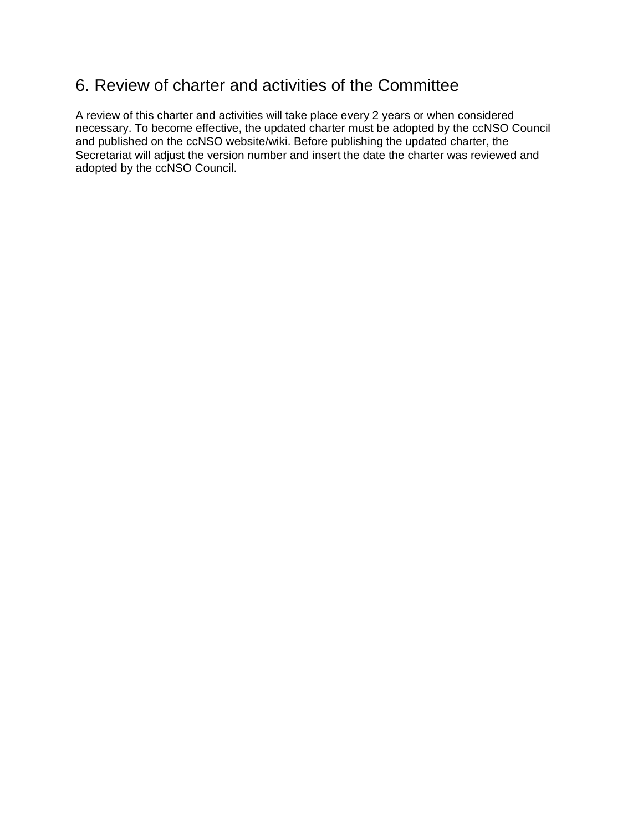### 6. Review of charter and activities of the Committee

A review of this charter and activities will take place every 2 years or when considered necessary. To become effective, the updated charter must be adopted by the ccNSO Council and published on the ccNSO website/wiki. Before publishing the updated charter, the Secretariat will adjust the version number and insert the date the charter was reviewed and adopted by the ccNSO Council.